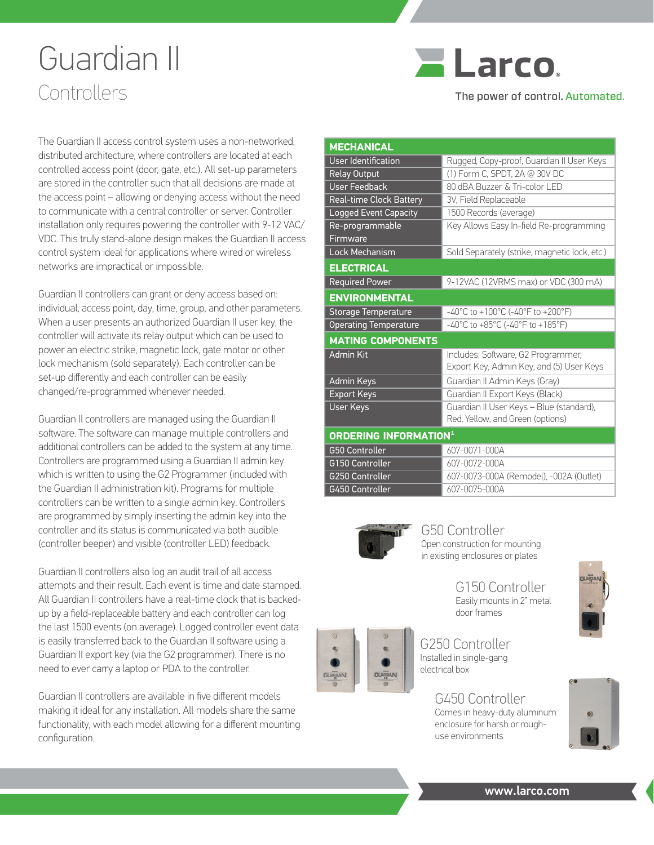## Guardian II Controllers



The power of control. Automated.

The Guardian II access control system uses a non-networked, distributed architecture, where controllers are located at each controlled access point (door, gate, etc.). All set-up parameters are stored in the controller such that all decisions are made at the access point – allowing or denying access without the need to communicate with a central controller or server. Controller installation only requires powering the controller with 9-12 VAC/ VDC. This truly stand-alone design makes the Guardian II access control system ideal for applications where wired or wireless networks are impractical or impossible.

Guardian II controllers can grant or deny access based on: individual, access point, day, time, group, and other parameters. When a user presents an authorized Guardian II user key, the controller will activate its relay output which can be used to power an electric strike, magnetic lock, gate motor or other lock mechanism (sold separately). Each controller can be set-up differently and each controller can be easily changed/re-programmed whenever needed.

Guardian II controllers are managed using the Guardian II software. The software can manage multiple controllers and additional controllers can be added to the system at any time. Controllers are programmed using a Guardian II admin key which is written to using the G2 Programmer (included with the Guardian II administration kit). Programs for multiple controllers can be written to a single admin key. Controllers are programmed by simply inserting the admin key into the controller and its status is communicated via both audible (controller beeper) and visible (controller LED) feedback.

Guardian II controllers also log an audit trail of all access attempts and their result. Each event is time and date stamped. All Guardian II controllers have a real-time clock that is backedup by a field-replaceable battery and each controller can log the last 1500 events (on average). Logged controller event data is easily transferred back to the Guardian II software using a Guardian II export key (via the G2 programmer). There is no need to ever carry a laptop or PDA to the controller.

Guardian II controllers are available in five different models making it ideal for any installation. All models share the same functionality, with each model allowing for a different mounting configuration.

| <b>MECHANICAL</b>                       |                                               |
|-----------------------------------------|-----------------------------------------------|
| <b>User Identification</b>              | Rugged, Copy-proof, Guardian II User Keys     |
| <b>Relay Output</b>                     | (1) Form C, SPDT, 2A @ 30V DC                 |
| <b>User Feedback</b>                    | 80 dBA Buzzer & Tri-color LED                 |
| <b>Real-time Clock Battery</b>          | 3V, Field Replaceable                         |
| Logged Event Capacity                   | 1500 Records (average)                        |
| Re-programmable                         | Key Allows Easy In-field Re-programming       |
| Firmware                                |                                               |
| Lock Mechanism                          | Sold Separately (strike, magnetic lock, etc.) |
| <b>ELECTRICAL</b>                       |                                               |
| <b>Required Power</b>                   | 9-12VAC (12VRMS max) or VDC (300 mA)          |
| <b>ENVIRONMENTAL</b>                    |                                               |
| <b>Storage Temperature</b>              | -40°C to +100°C (-40°F to +200°F)             |
| <b>Operating Temperature</b>            | -40°C to +85°C (-40°F to +185°F)              |
| <b>MATING COMPONENTS</b>                |                                               |
| <b>Admin Kit</b>                        | Includes: Software, G2 Programmer,            |
|                                         | Export Key, Admin Key, and (5) User Keys      |
| Admin Keys                              | Guardian II Admin Keys (Gray)                 |
| <b>Export Keys</b>                      | Guardian II Export Keys (Black)               |
| <b>User Keys</b>                        | Guardian II User Keys - Blue (standard),      |
|                                         | Red, Yellow, and Green (options)              |
| <b>ORDERING INFORMATION<sup>1</sup></b> |                                               |
| <b>G50 Controller</b>                   | 607-0071-000A                                 |
| G150 Controller                         | 607-0072-000A                                 |
| G250 Controller                         | 607-0073-000A (Remodel), -002A (Outlet)       |
| G450 Controller                         | 607-0075-000A                                 |



G50 Controller Open construction for mounting in existing enclosures or plates

G150 Controller Easily mounts in 2" metal door frames

G250 Controller Installed in single-gang electrical box

> G450 Controller Comes in heavy-duty aluminum enclosure for harsh or roughuse environments